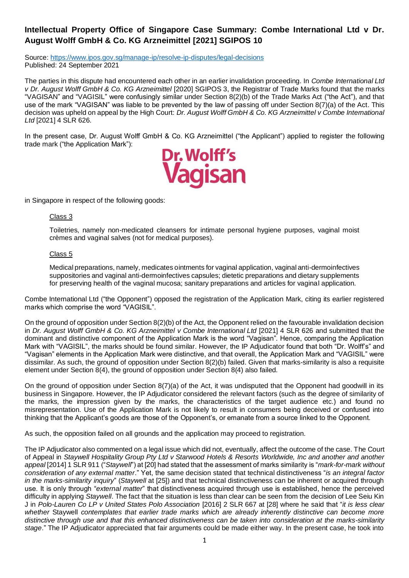## **Intellectual Property Office of Singapore Case Summary: Combe International Ltd v Dr. August Wolff GmbH & Co. KG Arzneimittel [2021] SGIPOS 10**

Source:<https://www.ipos.gov.sg/manage-ip/resolve-ip-disputes/legal-decisions> Published: 24 September 2021

The parties in this dispute had encountered each other in an earlier invalidation proceeding. In *Combe International Ltd v Dr. August Wolff GmbH & Co. KG Arzneimittel* [2020] SGIPOS 3, the Registrar of Trade Marks found that the marks "VAGISAN" and "VAGISIL" were confusingly similar under Section 8(2)(b) of the Trade Marks Act ("the Act"), and that use of the mark "VAGISAN" was liable to be prevented by the law of passing off under Section 8(7)(a) of the Act. This decision was upheld on appeal by the High Court: *Dr. August Wolff GmbH & Co. KG Arzneimittel v Combe International Ltd* [2021] 4 SLR 626.

In the present case, Dr. August Wolff GmbH & Co. KG Arzneimittel ("the Applicant") applied to register the following trade mark ("the Application Mark"):



in Singapore in respect of the following goods:

## Class 3

Toiletries, namely non-medicated cleansers for intimate personal hygiene purposes, vaginal moist crèmes and vaginal salves (not for medical purposes).

## Class 5

Medical preparations, namely, medicates ointments for vaginal application, vaginal anti-dermoinfectives suppositories and vaginal anti-dermoinfectives capsules; dietetic preparations and dietary supplements for preserving health of the vaginal mucosa; sanitary preparations and articles for vaginal application.

Combe International Ltd ("the Opponent") opposed the registration of the Application Mark, citing its earlier registered marks which comprise the word "VAGISIL".

On the ground of opposition under Section 8(2)(b) of the Act, the Opponent relied on the favourable invalidation decision in *Dr. August Wolff GmbH & Co. KG Arzneimittel v Combe International Ltd* [2021] 4 SLR 626 and submitted that the dominant and distinctive component of the Application Mark is the word "Vagisan". Hence, comparing the Application Mark with "VAGISIL", the marks should be found similar. However, the IP Adjudicator found that both "Dr. Wolff's" and "Vagisan" elements in the Application Mark were distinctive, and that overall, the Application Mark and "VAGISIL" were dissimilar. As such, the ground of opposition under Section 8(2)(b) failed. Given that marks-similarity is also a requisite element under Section 8(4), the ground of opposition under Section 8(4) also failed.

On the ground of opposition under Section 8(7)(a) of the Act, it was undisputed that the Opponent had goodwill in its business in Singapore. However, the IP Adjudicator considered the relevant factors (such as the degree of similarity of the marks, the impression given by the marks, the characteristics of the target audience etc.) and found no misrepresentation. Use of the Application Mark is not likely to result in consumers being deceived or confused into thinking that the Applicant's goods are those of the Opponent's, or emanate from a source linked to the Opponent.

As such, the opposition failed on all grounds and the application may proceed to registration.

The IP Adjudicator also commented on a legal issue which did not, eventually, affect the outcome of the case. The Court of Appeal in *Staywell Hospitality Group Pty Ltd v Starwood Hotels & Resorts Worldwide, Inc and another and another appeal* [2014] 1 SLR 911 ("*Staywell*") at [20] had stated that the assessment of marks similarity is "*mark-for-mark without consideration of any external matter*." Yet, the same decision stated that technical distinctiveness "*is an integral factor in the marks-similarity inquiry*" (*Staywell* at [25]) and that technical distinctiveness can be inherent or acquired through use. It is only through "*external matter*" that distinctiveness acquired through use is established, hence the perceived difficulty in applying *Staywell*. The fact that the situation is less than clear can be seen from the decision of Lee Seiu Kin J in *Polo-Lauren Co LP v United States Polo Association* [2016] 2 SLR 667 at [28] where he said that "*it is less clear whether* Staywell *contemplates that earlier trade marks which are already inherently distinctive can become more distinctive through use and that this enhanced distinctiveness can be taken into consideration at the marks-similarity stage*." The IP Adjudicator appreciated that fair arguments could be made either way. In the present case, he took into